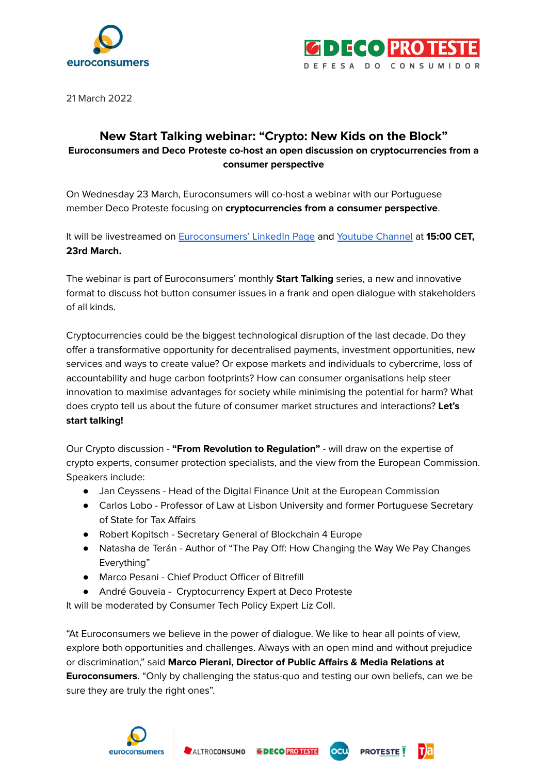



21 March 2022

## **New Start Talking webinar: "Crypto: New Kids on the Block" Euroconsumers and Deco Proteste co-host an open discussion on cryptocurrencies from a consumer perspective**

On Wednesday 23 March, Euroconsumers will co-host a webinar with our Portuguese member Deco Proteste focusing on **cryptocurrencies from a consumer perspective**.

It will be livestreamed on [Euroconsumers'](https://www.linkedin.com/video/event/urn:li:ugcPost:6910615962366943232/) LinkedIn Page and Youtube [Channel](https://www.youtube.com/channel/UCsxCZ8xLVKMZ7c3BqJrWUcw) at **15:00 CET, 23rd March.**

The webinar is part of Euroconsumers' monthly **Start Talking** series, a new and innovative format to discuss hot button consumer issues in a frank and open dialogue with stakeholders of all kinds.

Cryptocurrencies could be the biggest technological disruption of the last decade. Do they offer a transformative opportunity for decentralised payments, investment opportunities, new services and ways to create value? Or expose markets and individuals to cybercrime, loss of accountability and huge carbon footprints? How can consumer organisations help steer innovation to maximise advantages for society while minimising the potential for harm? What does crypto tell us about the future of consumer market structures and interactions? **Let's start talking!**

Our Crypto discussion - **"From Revolution to Regulation"** - will draw on the expertise of crypto experts, consumer protection specialists, and the view from the European Commission. Speakers include:

- Jan Ceyssens Head of the Digital Finance Unit at the European Commission
- Carlos Lobo Professor of Law at Lisbon University and former Portuguese Secretary of State for Tax Affairs
- Robert Kopitsch Secretary General of Blockchain 4 Europe
- Natasha de Terán Author of "The Pay Off: How Changing the Way We Pay Changes Everything"
- Marco Pesani Chief Product Officer of Bitrefill
- André Gouveia Cryptocurrency Expert at Deco Proteste

It will be moderated by Consumer Tech Policy Expert Liz Coll.

"At Euroconsumers we believe in the power of dialogue. We like to hear all points of view, explore both opportunities and challenges. Always with an open mind and without prejudice or discrimination," said **Marco Pierani, Director of Public Affairs & Media Relations at Euroconsumers**. "Only by challenging the status-quo and testing our own beliefs, can we be sure they are truly the right ones".